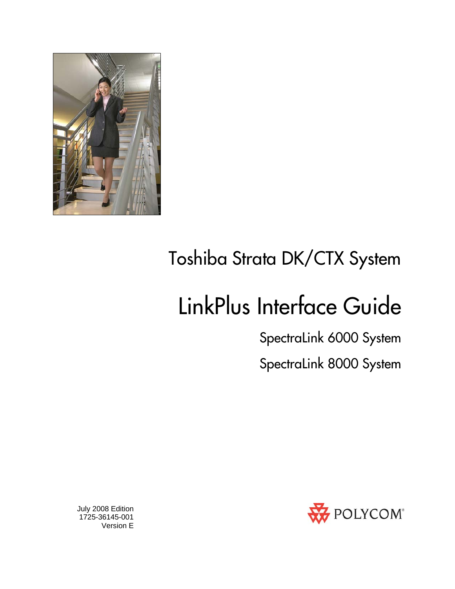

## Toshiba Strata DK/CTX System

# LinkPlus Interface Guide

SpectraLink 6000 System SpectraLink 8000 System



 July 2008 Edition 1725-36145-001 Version E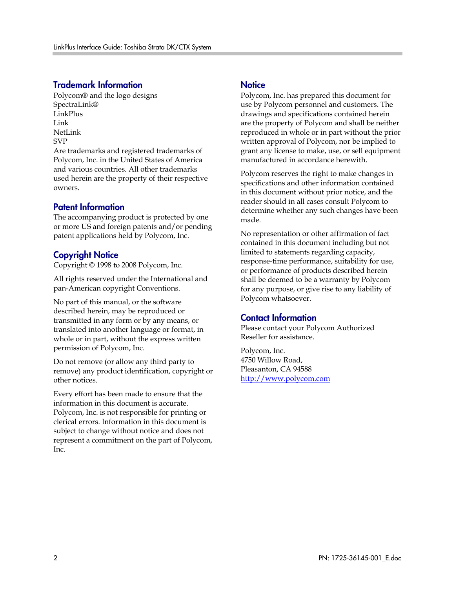#### Trademark Information

Polycom® and the logo designs SpectraLink® LinkPlus Link NetLink SVP

Are trademarks and registered trademarks of Polycom, Inc. in the United States of America and various countries. All other trademarks used herein are the property of their respective owners.

#### Patent Information

The accompanying product is protected by one or more US and foreign patents and/or pending patent applications held by Polycom, Inc.

#### Copyright Notice

Copyright © 1998 to 2008 Polycom, Inc.

All rights reserved under the International and pan-American copyright Conventions.

No part of this manual, or the software described herein, may be reproduced or transmitted in any form or by any means, or translated into another language or format, in whole or in part, without the express written permission of Polycom, Inc.

Do not remove (or allow any third party to remove) any product identification, copyright or other notices.

Every effort has been made to ensure that the information in this document is accurate. Polycom, Inc. is not responsible for printing or clerical errors. Information in this document is subject to change without notice and does not represent a commitment on the part of Polycom, Inc.

#### **Notice**

Polycom, Inc. has prepared this document for use by Polycom personnel and customers. The drawings and specifications contained herein are the property of Polycom and shall be neither reproduced in whole or in part without the prior written approval of Polycom, nor be implied to grant any license to make, use, or sell equipment manufactured in accordance herewith.

Polycom reserves the right to make changes in specifications and other information contained in this document without prior notice, and the reader should in all cases consult Polycom to determine whether any such changes have been made.

No representation or other affirmation of fact contained in this document including but not limited to statements regarding capacity, response-time performance, suitability for use, or performance of products described herein shall be deemed to be a warranty by Polycom for any purpose, or give rise to any liability of Polycom whatsoever.

#### Contact Information

Please contact your Polycom Authorized Reseller for assistance.

Polycom, Inc. 4750 Willow Road, Pleasanton, CA 94588 [http://www.polycom.com](http://www.polycom.com/)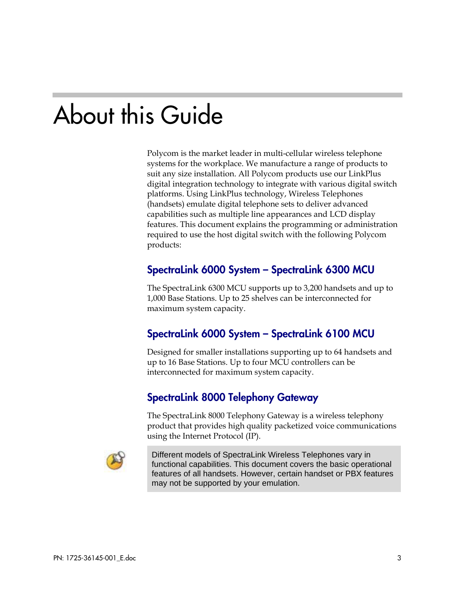## About this Guide

Polycom is the market leader in multi-cellular wireless telephone systems for the workplace. We manufacture a range of products to suit any size installation. All Polycom products use our LinkPlus digital integration technology to integrate with various digital switch platforms. Using LinkPlus technology, Wireless Telephones (handsets) emulate digital telephone sets to deliver advanced capabilities such as multiple line appearances and LCD display features. This document explains the programming or administration required to use the host digital switch with the following Polycom products:

#### SpectraLink 6000 System – SpectraLink 6300 MCU

The SpectraLink 6300 MCU supports up to 3,200 handsets and up to 1,000 Base Stations. Up to 25 shelves can be interconnected for maximum system capacity.

#### SpectraLink 6000 System – SpectraLink 6100 MCU

Designed for smaller installations supporting up to 64 handsets and up to 16 Base Stations. Up to four MCU controllers can be interconnected for maximum system capacity.

#### SpectraLink 8000 Telephony Gateway

The SpectraLink 8000 Telephony Gateway is a wireless telephony product that provides high quality packetized voice communications using the Internet Protocol (IP).



Different models of SpectraLink Wireless Telephones vary in functional capabilities. This document covers the basic operational features of all handsets. However, certain handset or PBX features may not be supported by your emulation.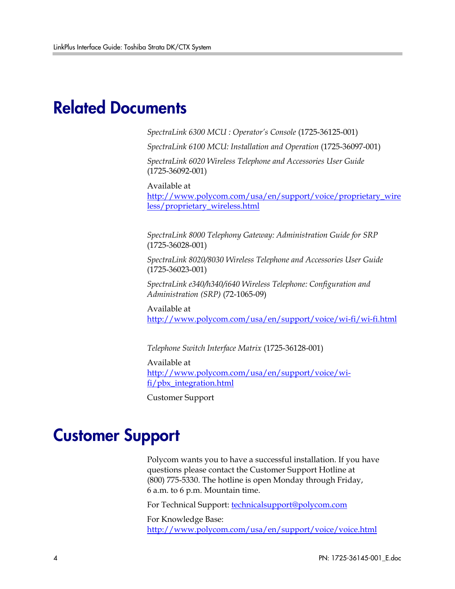## Related Documents

*SpectraLink 6300 MCU : Operator's Console* (1725-36125-001)

*SpectraLink 6100 MCU: Installation and Operation* (1725-36097-001)

*SpectraLink 6020 Wireless Telephone and Accessories User Guide*  (1725-36092-001)

Available at

[http://www.polycom.com/usa/en/support/voice/proprietary\\_wire](http://www.polycom.com/usa/en/support/voice/proprietary_wireless/proprietary_wireless.html) [less/proprietary\\_wireless.html](http://www.polycom.com/usa/en/support/voice/proprietary_wireless/proprietary_wireless.html)

*SpectraLink 8000 Telephony Gateway: Administration Guide for SRP*  (1725-36028-001)

*SpectraLink 8020/8030 Wireless Telephone and Accessories User Guide*  (1725-36023-001)

*SpectraLink e340/h340/i640 Wireless Telephone: Configuration and Administration (SRP)* (72-1065-09)

Available at <http://www.polycom.com/usa/en/support/voice/wi-fi/wi-fi.html>

*Telephone Switch Interface Matrix* (1725-36128-001)

Available at [http://www.polycom.com/usa/en/support/voice/wi](http://www.polycom.com/usa/en/support/voice/wi-fi/pbx_integration.html)[fi/pbx\\_integration.html](http://www.polycom.com/usa/en/support/voice/wi-fi/pbx_integration.html)

Customer Support

## Customer Support

Polycom wants you to have a successful installation. If you have questions please contact the Customer Support Hotline at (800) 775-5330. The hotline is open Monday through Friday, 6 a.m. to 6 p.m. Mountain time.

For Technical Support: [technicalsupport@polycom.com](mailto:technicalsupport@polycom.com)

For Knowledge Base: <http://www.polycom.com/usa/en/support/voice/voice.html>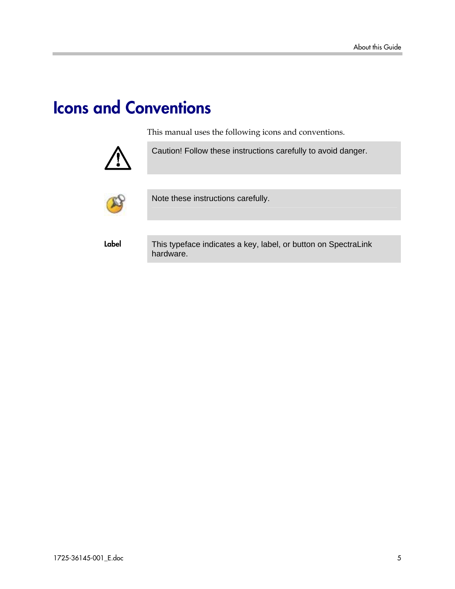## Icons and Conventions

This manual uses the following icons and conventions.



Caution! Follow these instructions carefully to avoid danger.



Note these instructions carefully.

Label This typeface indicates a key, label, or button on SpectraLink hardware.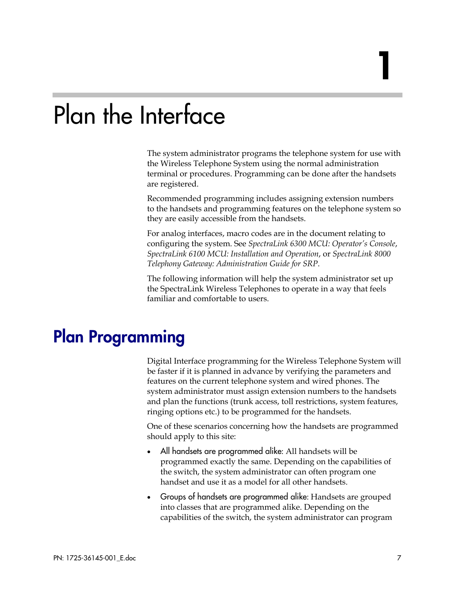## Plan the Interface

The system administrator programs the telephone system for use with the Wireless Telephone System using the normal administration terminal or procedures. Programming can be done after the handsets are registered.

Recommended programming includes assigning extension numbers to the handsets and programming features on the telephone system so they are easily accessible from the handsets.

For analog interfaces, macro codes are in the document relating to configuring the system. See *SpectraLink 6300 MCU: Operator's Console*, *SpectraLink 6100 MCU: Installation and Operation*, or *SpectraLink 8000 Telephony Gateway: Administration Guide for SRP*.

The following information will help the system administrator set up the SpectraLink Wireless Telephones to operate in a way that feels familiar and comfortable to users.

## Plan Programming

Digital Interface programming for the Wireless Telephone System will be faster if it is planned in advance by verifying the parameters and features on the current telephone system and wired phones. The system administrator must assign extension numbers to the handsets and plan the functions (trunk access, toll restrictions, system features, ringing options etc.) to be programmed for the handsets.

One of these scenarios concerning how the handsets are programmed should apply to this site:

- All handsets are programmed alike: All handsets will be programmed exactly the same. Depending on the capabilities of the switch, the system administrator can often program one handset and use it as a model for all other handsets.
- Groups of handsets are programmed alike: Handsets are grouped into classes that are programmed alike. Depending on the capabilities of the switch, the system administrator can program

1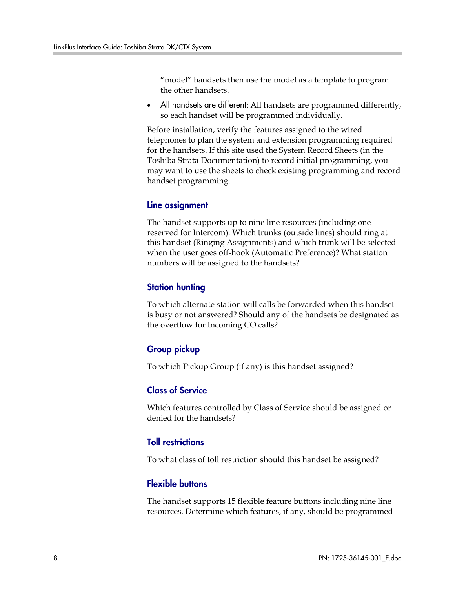"model" handsets then use the model as a template to program the other handsets.

All handsets are different: All handsets are programmed differently, so each handset will be programmed individually.

Before installation, verify the features assigned to the wired telephones to plan the system and extension programming required for the handsets. If this site used the System Record Sheets (in the Toshiba Strata Documentation) to record initial programming, you may want to use the sheets to check existing programming and record handset programming.

#### Line assignment

The handset supports up to nine line resources (including one reserved for Intercom). Which trunks (outside lines) should ring at this handset (Ringing Assignments) and which trunk will be selected when the user goes off-hook (Automatic Preference)? What station numbers will be assigned to the handsets?

#### Station hunting

To which alternate station will calls be forwarded when this handset is busy or not answered? Should any of the handsets be designated as the overflow for Incoming CO calls?

#### Group pickup

To which Pickup Group (if any) is this handset assigned?

#### Class of Service

Which features controlled by Class of Service should be assigned or denied for the handsets?

#### Toll restrictions

To what class of toll restriction should this handset be assigned?

#### Flexible buttons

The handset supports 15 flexible feature buttons including nine line resources. Determine which features, if any, should be programmed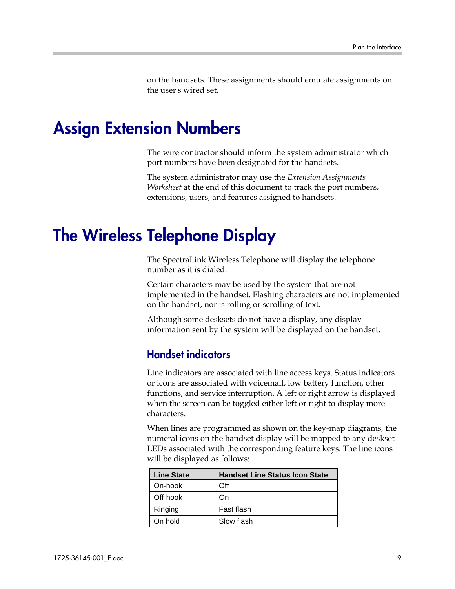on the handsets. These assignments should emulate assignments on the user's wired set.

### Assign Extension Numbers

The wire contractor should inform the system administrator which port numbers have been designated for the handsets.

The system administrator may use the *Extension Assignments Worksheet* at the end of this document to track the port numbers, extensions, users, and features assigned to handsets.

## The Wireless Telephone Display

The SpectraLink Wireless Telephone will display the telephone number as it is dialed.

Certain characters may be used by the system that are not implemented in the handset. Flashing characters are not implemented on the handset, nor is rolling or scrolling of text.

Although some desksets do not have a display, any display information sent by the system will be displayed on the handset.

#### Handset indicators

Line indicators are associated with line access keys. Status indicators or icons are associated with voicemail, low battery function, other functions, and service interruption. A left or right arrow is displayed when the screen can be toggled either left or right to display more characters.

When lines are programmed as shown on the key-map diagrams, the numeral icons on the handset display will be mapped to any deskset LEDs associated with the corresponding feature keys. The line icons will be displayed as follows:

| <b>Line State</b> | <b>Handset Line Status Icon State</b> |
|-------------------|---------------------------------------|
| On-hook           | Off                                   |
| Off-hook          | On                                    |
| Ringing           | Fast flash                            |
| On hold           | Slow flash                            |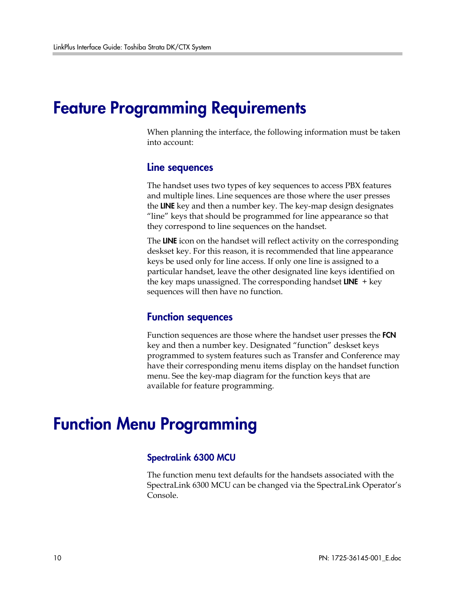## Feature Programming Requirements

When planning the interface, the following information must be taken into account:

#### Line sequences

The handset uses two types of key sequences to access PBX features and multiple lines. Line sequences are those where the user presses the LINE key and then a number key. The key-map design designates "line" keys that should be programmed for line appearance so that they correspond to line sequences on the handset.

The LINE icon on the handset will reflect activity on the corresponding deskset key. For this reason, it is recommended that line appearance keys be used only for line access. If only one line is assigned to a particular handset, leave the other designated line keys identified on the key maps unassigned. The corresponding handset  $LINE$  + key sequences will then have no function.

#### Function sequences

Function sequences are those where the handset user presses the FCN key and then a number key. Designated "function" deskset keys programmed to system features such as Transfer and Conference may have their corresponding menu items display on the handset function menu. See the key-map diagram for the function keys that are available for feature programming.

## Function Menu Programming

#### SpectraLink 6300 MCU

The function menu text defaults for the handsets associated with the SpectraLink 6300 MCU can be changed via the SpectraLink Operator's Console.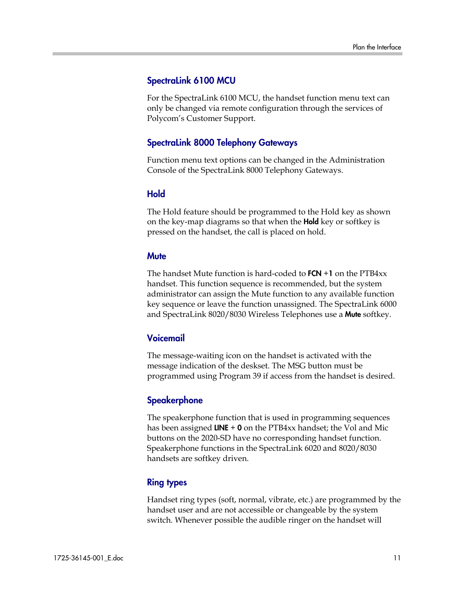#### SpectraLink 6100 MCU

For the SpectraLink 6100 MCU, the handset function menu text can only be changed via remote configuration through the services of Polycom's Customer Support.

#### SpectraLink 8000 Telephony Gateways

Function menu text options can be changed in the Administration Console of the SpectraLink 8000 Telephony Gateways.

#### **Hold**

The Hold feature should be programmed to the Hold key as shown on the key-map diagrams so that when the **Hold** key or softkey is pressed on the handset, the call is placed on hold.

#### **Mute**

The handset Mute function is hard-coded to  $FCN + 1$  on the  $PTB4xx$ handset. This function sequence is recommended, but the system administrator can assign the Mute function to any available function key sequence or leave the function unassigned. The SpectraLink 6000 and SpectraLink 8020/8030 Wireless Telephones use a Mute softkey.

#### Voicemail

The message-waiting icon on the handset is activated with the message indication of the deskset. The MSG button must be programmed using Program 39 if access from the handset is desired.

#### **Speakerphone**

The speakerphone function that is used in programming sequences has been assigned  $LINE + 0$  on the PTB4xx handset; the Vol and Mic buttons on the 2020-SD have no corresponding handset function. Speakerphone functions in the SpectraLink 6020 and 8020/8030 handsets are softkey driven.

#### Ring types

Handset ring types (soft, normal, vibrate, etc.) are programmed by the handset user and are not accessible or changeable by the system switch. Whenever possible the audible ringer on the handset will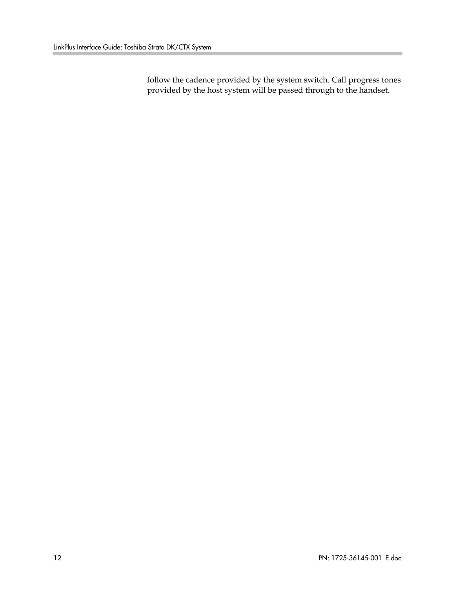follow the cadence provided by the system switch. Call progress tones provided by the host system will be passed through to the handset.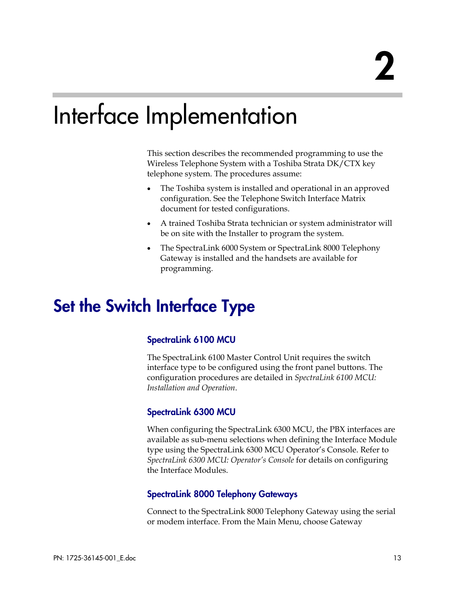## Interface Implementation

This section describes the recommended programming to use the Wireless Telephone System with a Toshiba Strata DK/CTX key telephone system. The procedures assume:

- The Toshiba system is installed and operational in an approved configuration. See the Telephone Switch Interface Matrix document for tested configurations.
- A trained Toshiba Strata technician or system administrator will be on site with the Installer to program the system.
- The SpectraLink 6000 System or SpectraLink 8000 Telephony Gateway is installed and the handsets are available for programming.

## Set the Switch Interface Type

#### SpectraLink 6100 MCU

The SpectraLink 6100 Master Control Unit requires the switch interface type to be configured using the front panel buttons. The configuration procedures are detailed in *SpectraLink 6100 MCU: Installation and Operation*.

#### SpectraLink 6300 MCU

When configuring the SpectraLink 6300 MCU, the PBX interfaces are available as sub-menu selections when defining the Interface Module type using the SpectraLink 6300 MCU Operator's Console. Refer to *SpectraLink 6300 MCU: Operator's Console* for details on configuring the Interface Modules.

#### SpectraLink 8000 Telephony Gateways

Connect to the SpectraLink 8000 Telephony Gateway using the serial or modem interface. From the Main Menu, choose Gateway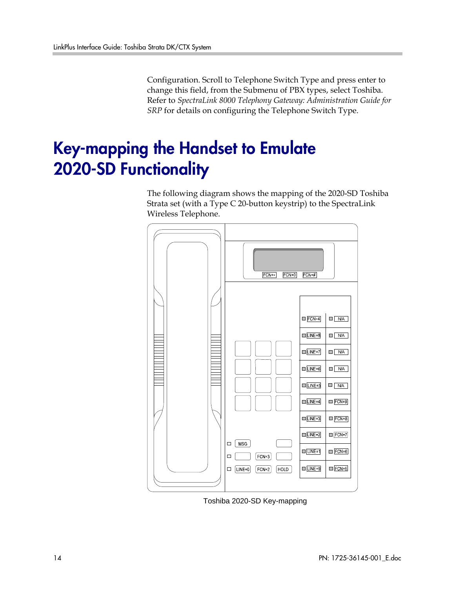Configuration. Scroll to Telephone Switch Type and press enter to change this field, from the Submenu of PBX types, select Toshiba. Refer to *SpectraLink 8000 Telephony Gateway: Administration Guide for SRP* for details on configuring the Telephone Switch Type.

## Key-mapping the Handset to Emulate 2020-SD Functionality

The following diagram shows the mapping of the 2020-SD Toshiba Strata set (with a Type C 20-button keystrip) to the SpectraLink Wireless Telephone.



Toshiba 2020-SD Key-mapping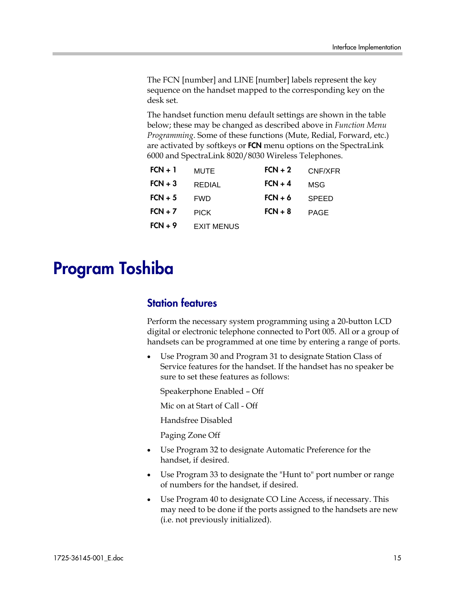The FCN [number] and LINE [number] labels represent the key sequence on the handset mapped to the corresponding key on the desk set.

The handset function menu default settings are shown in the table below; these may be changed as described above in *Function Menu Programming*. Some of these functions (Mute, Redial, Forward, etc.) are activated by softkeys or FCN menu options on the SpectraLink 6000 and SpectraLink 8020/8030 Wireless Telephones.

| $FCN + 1$ | MUTE              | $FCN + 2$ | CNF/XFR      |
|-----------|-------------------|-----------|--------------|
| $FCN + 3$ | REDIAL            | $FCN + 4$ | MSG          |
| $FCN + 5$ | <b>FWD</b>        | $FCN + 6$ | <b>SPEED</b> |
| $FCN + 7$ | <b>PICK</b>       | $FCN + 8$ | <b>PAGE</b>  |
| $FCN + 9$ | <b>EXIT MENUS</b> |           |              |

## Program Toshiba

#### Station features

Perform the necessary system programming using a 20-button LCD digital or electronic telephone connected to Port 005. All or a group of handsets can be programmed at one time by entering a range of ports.

Use Program 30 and Program 31 to designate Station Class of Service features for the handset. If the handset has no speaker be sure to set these features as follows:

Speakerphone Enabled – Off

Mic on at Start of Call - Off

Handsfree Disabled

Paging Zone Off

- Use Program 32 to designate Automatic Preference for the handset, if desired.
- Use Program 33 to designate the "Hunt to" port number or range of numbers for the handset, if desired.
- Use Program 40 to designate CO Line Access, if necessary. This may need to be done if the ports assigned to the handsets are new (i.e. not previously initialized).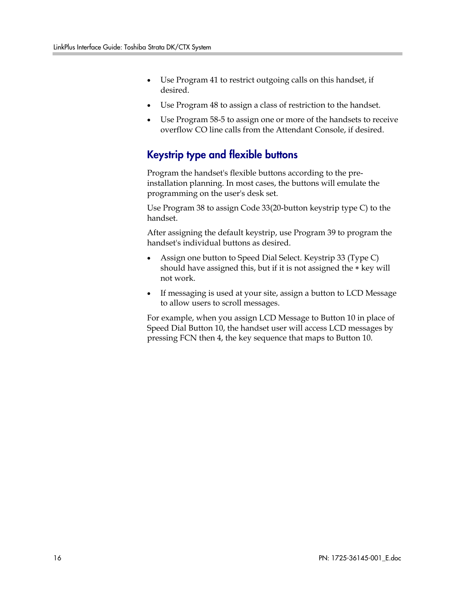- Use Program 41 to restrict outgoing calls on this handset, if desired.
- Use Program 48 to assign a class of restriction to the handset.
- Use Program 58-5 to assign one or more of the handsets to receive overflow CO line calls from the Attendant Console, if desired.

#### Keystrip type and flexible buttons

Program the handset's flexible buttons according to the preinstallation planning. In most cases, the buttons will emulate the programming on the user's desk set.

Use Program 38 to assign Code 33(20-button keystrip type C) to the handset.

After assigning the default keystrip, use Program 39 to program the handset's individual buttons as desired.

- Assign one button to Speed Dial Select. Keystrip 33 (Type C) should have assigned this, but if it is not assigned the ∗ key will not work.
- If messaging is used at your site, assign a button to LCD Message to allow users to scroll messages.

For example, when you assign LCD Message to Button 10 in place of Speed Dial Button 10, the handset user will access LCD messages by pressing FCN then 4, the key sequence that maps to Button 10.